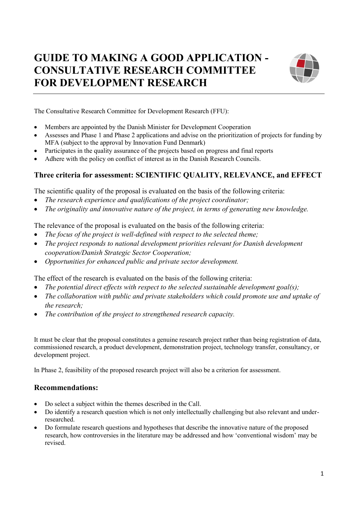## **GUIDE TO MAKING A GOOD APPLICATION - CONSULTATIVE RESEARCH COMMITTEE FOR DEVELOPMENT RESEARCH**



The Consultative Research Committee for Development Research (FFU):

- Members are appointed by the Danish Minister for Development Cooperation
- Assesses and Phase 1 and Phase 2 applications and advise on the prioritization of projects for funding by MFA (subject to the approval by Innovation Fund Denmark)
- Participates in the quality assurance of the projects based on progress and final reports
- Adhere with the policy on conflict of interest as in the Danish Research Councils.

## **Three criteria for assessment: SCIENTIFIC QUALITY, RELEVANCE, and EFFECT**

The scientific quality of the proposal is evaluated on the basis of the following criteria:

- *The research experience and qualifications of the project coordinator;*
- *The originality and innovative nature of the project, in terms of generating new knowledge.*

The relevance of the proposal is evaluated on the basis of the following criteria:

- *The focus of the project is well-defined with respect to the selected theme;*
- *The project responds to national development priorities relevant for Danish development cooperation/Danish Strategic Sector Cooperation;*
- *Opportunities for enhanced public and private sector development.*

The effect of the research is evaluated on the basis of the following criteria:

- *The potential direct effects with respect to the selected sustainable development goal(s);*
- *The collaboration with public and private stakeholders which could promote use and uptake of the research;*
- *The contribution of the project to strengthened research capacity.*

It must be clear that the proposal constitutes a genuine research project rather than being registration of data, commissioned research, a product development, demonstration project, technology transfer, consultancy, or development project.

In Phase 2, feasibility of the proposed research project will also be a criterion for assessment.

## **Recommendations:**

- Do select a subject within the themes described in the Call.
- Do identify a research question which is not only intellectually challenging but also relevant and underresearched.
- Do formulate research questions and hypotheses that describe the innovative nature of the proposed research, how controversies in the literature may be addressed and how 'conventional wisdom' may be revised.